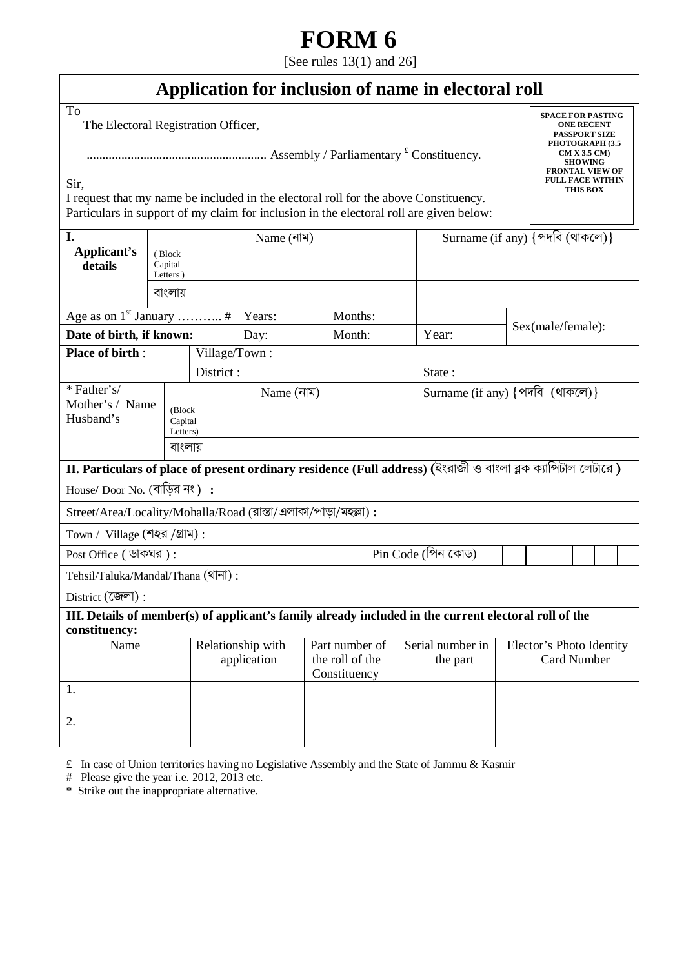# **FORM 6**

[See rules 13(1) and 26]

| Application for inclusion of name in electoral roll |  |  |  |  |  |  |  |  |
|-----------------------------------------------------|--|--|--|--|--|--|--|--|
|-----------------------------------------------------|--|--|--|--|--|--|--|--|

To

The Electoral Registration Officer,

......................................................... Assembly / Parliamentary £ Constituency.

**SPACE FOR PASTING ONE RECENT PASSPORT SIZE PHOTOGRAPH (3.5 CM X 3.5 CM) SHOWING FRONTAL VIEW OF FULL FACE WITHIN THIS BOX** 

Sir,

I request that my name be included in the electoral roll for the above Constituency. Particulars in support of my claim for inclusion in the electoral roll are given below:

| I.                                                                                                                     |                                | Name (নাম) |                                  |  |                                                   |  | Surname (if any) {পদবি (থাকলে)} |                                                                                                              |  |  |  |  |  |
|------------------------------------------------------------------------------------------------------------------------|--------------------------------|------------|----------------------------------|--|---------------------------------------------------|--|---------------------------------|--------------------------------------------------------------------------------------------------------------|--|--|--|--|--|
| Applicant's<br>details                                                                                                 | (Block<br>Capital<br>Letters)  |            |                                  |  |                                                   |  |                                 |                                                                                                              |  |  |  |  |  |
|                                                                                                                        | বাংলায়                        |            |                                  |  |                                                   |  |                                 |                                                                                                              |  |  |  |  |  |
|                                                                                                                        |                                |            | Years:                           |  | Months:                                           |  |                                 |                                                                                                              |  |  |  |  |  |
| Date of birth, if known:                                                                                               |                                |            | Day:                             |  | Month:                                            |  | Year:                           | Sex(male/female):                                                                                            |  |  |  |  |  |
| <b>Place of birth:</b>                                                                                                 | Village/Town:                  |            |                                  |  |                                                   |  |                                 |                                                                                                              |  |  |  |  |  |
|                                                                                                                        |                                | District:  |                                  |  |                                                   |  | State:                          |                                                                                                              |  |  |  |  |  |
| * Father's/                                                                                                            |                                |            | Name (নাম)                       |  |                                                   |  | Surname (if any) {পদবি (থাকলে)} |                                                                                                              |  |  |  |  |  |
| Mother's / Name<br>Husband's                                                                                           | (Block)<br>Capital<br>Letters) |            |                                  |  |                                                   |  |                                 |                                                                                                              |  |  |  |  |  |
|                                                                                                                        |                                | বাংলায়    |                                  |  |                                                   |  |                                 |                                                                                                              |  |  |  |  |  |
|                                                                                                                        |                                |            |                                  |  |                                                   |  |                                 | II. Particulars of place of present ordinary residence (Full address) (ইংরাজী ও বাংলা ব্লক ক্যাপিটাল লেটারে) |  |  |  |  |  |
| House/ Door No. (বাড়ির নং) :                                                                                          |                                |            |                                  |  |                                                   |  |                                 |                                                                                                              |  |  |  |  |  |
| Street/Area/Locality/Mohalla/Road (রাস্তা/এলাকা/পাড়া/মহল্লা):                                                         |                                |            |                                  |  |                                                   |  |                                 |                                                                                                              |  |  |  |  |  |
| Town / Village (শহর /গ্রাম):                                                                                           |                                |            |                                  |  |                                                   |  |                                 |                                                                                                              |  |  |  |  |  |
| Pin Code (পিন কোড)<br>Post Office ( ডাকঘর):                                                                            |                                |            |                                  |  |                                                   |  |                                 |                                                                                                              |  |  |  |  |  |
| Tehsil/Taluka/Mandal/Thana (থানা):                                                                                     |                                |            |                                  |  |                                                   |  |                                 |                                                                                                              |  |  |  |  |  |
| District (জেলা):                                                                                                       |                                |            |                                  |  |                                                   |  |                                 |                                                                                                              |  |  |  |  |  |
| III. Details of member(s) of applicant's family already included in the current electoral roll of the<br>constituency: |                                |            |                                  |  |                                                   |  |                                 |                                                                                                              |  |  |  |  |  |
| Name                                                                                                                   |                                |            | Relationship with<br>application |  | Part number of<br>the roll of the<br>Constituency |  | Serial number in<br>the part    | Elector's Photo Identity<br><b>Card Number</b>                                                               |  |  |  |  |  |
| 1.                                                                                                                     |                                |            |                                  |  |                                                   |  |                                 |                                                                                                              |  |  |  |  |  |
| 2.                                                                                                                     |                                |            |                                  |  |                                                   |  |                                 |                                                                                                              |  |  |  |  |  |

 $\hat{\tau}$  In case of Union territories having no Legislative Assembly and the State of Jammu & Kasmir

# Please give the year i.e. 2012, 2013 etc.

\* Strike out the inappropriate alternative.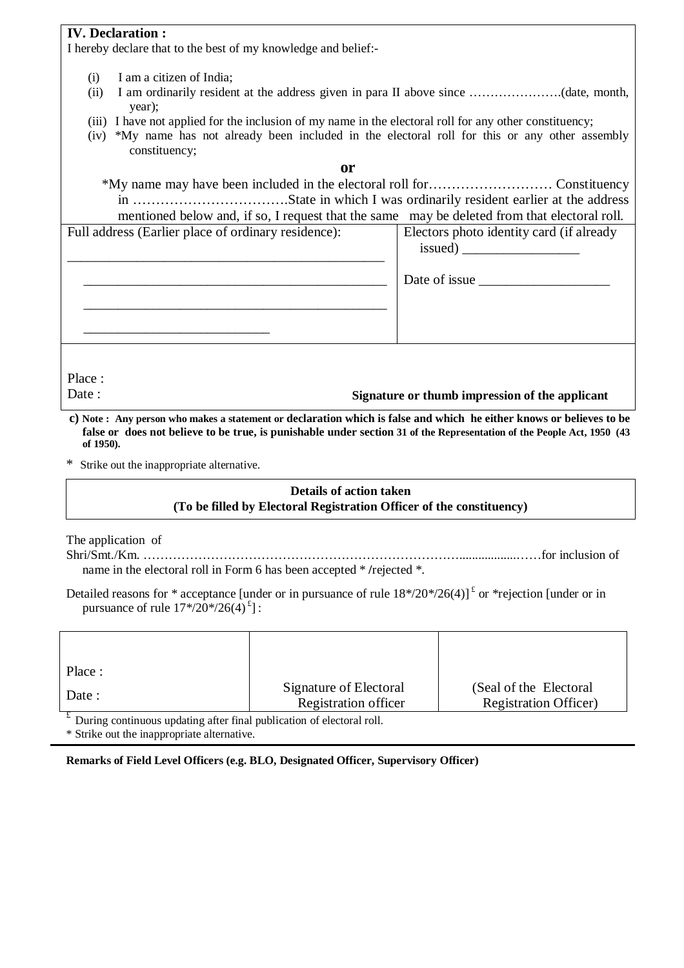## **IV. Declaration :**

I hereby declare that to the best of my knowledge and belief:-

- (i) I am a citizen of India;
- (ii) I am ordinarily resident at the address given in para II above since ………………….(date, month, year);
- (iii) I have not applied for the inclusion of my name in the electoral roll for any other constituency;
- (iv) \*My name has not already been included in the electoral roll for this or any other assembly constituency;

**or** 

\*My name may have been included in the electoral roll for……………………… Constituency in …………………………….State in which I was ordinarily resident earlier at the address mentioned below and, if so, I request that the same may be deleted from that electoral roll.

Full address (Earlier place of ordinary residence):

\_\_\_\_\_\_\_\_\_\_\_\_\_\_\_\_\_\_\_\_\_\_\_\_\_\_\_\_\_\_\_\_\_\_\_\_\_\_\_\_\_\_\_\_\_\_

\_\_\_\_\_\_\_\_\_\_\_\_\_\_\_\_\_\_\_\_\_\_\_\_\_\_\_\_\_\_\_\_\_\_\_\_\_\_\_\_\_\_\_\_

\_\_\_\_\_\_\_\_\_\_\_\_\_\_\_\_\_\_\_\_\_\_\_\_\_\_\_\_\_\_\_\_\_\_\_\_\_\_\_\_\_\_\_\_

| Place  |
|--------|
| I )ate |

**Signature or thumb impression of the applicant**

issued) \_\_\_\_\_\_\_\_\_\_\_\_\_\_\_\_\_

Electors photo identity card (if already

Date of issue \_\_\_\_\_\_\_\_\_\_\_\_\_\_\_\_\_\_\_

 **c) Note : Any person who makes a statement or declaration which is false and which he either knows or believes to be false or does not believe to be true, is punishable under section 31 of the Representation of the People Act, 1950 (43 of 1950).** 

\* Strike out the inappropriate alternative.

\_\_\_\_\_\_\_\_\_\_\_\_\_\_\_\_\_\_\_\_\_\_\_\_\_\_\_

## **Details of action taken (To be filled by Electoral Registration Officer of the constituency)**

The application of

Shri/Smt./Km. …………………………………………………………………..................……for inclusion of name in the electoral roll in Form 6 has been accepted \* **/**rejected \*.

Detailed reasons for \* acceptance [under or in pursuance of rule  $18*/20*/26(4)$ ]<sup> $t$ </sup> or \*rejection [under or in pursuance of rule  $17*/20*/26(4)^{2}$ :

| Place :                                                              |                        |                               |
|----------------------------------------------------------------------|------------------------|-------------------------------|
| Date:                                                                | Signature of Electoral | (Seal of the Electoral)       |
|                                                                      | Registration officer   | <b>Registration Officer</b> ) |
| During continuous undating after final publication of electoral roll |                        |                               |

£ During continuous updating after final publication of electoral roll.

\* Strike out the inappropriate alternative.

**Remarks of Field Level Officers (e.g. BLO, Designated Officer, Supervisory Officer)**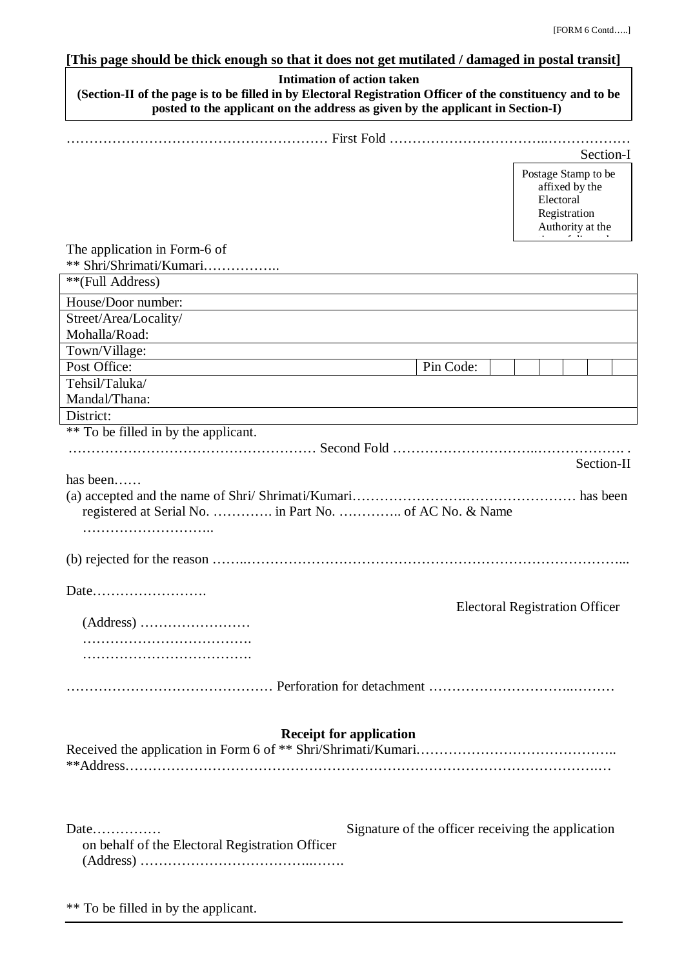# **[This page should be thick enough so that it does not get mutilated / damaged in postal transit]**

| <b>Intimation of action taken</b><br>(Section-II of the page is to be filled in by Electoral Registration Officer of the constituency and to be<br>posted to the applicant on the address as given by the applicant in Section-I) |                                                    |                                  |                                                    |            |
|-----------------------------------------------------------------------------------------------------------------------------------------------------------------------------------------------------------------------------------|----------------------------------------------------|----------------------------------|----------------------------------------------------|------------|
|                                                                                                                                                                                                                                   |                                                    |                                  |                                                    |            |
|                                                                                                                                                                                                                                   |                                                    |                                  |                                                    | Section-I  |
|                                                                                                                                                                                                                                   |                                                    | Postage Stamp to be<br>Electoral | affixed by the<br>Registration<br>Authority at the |            |
| The application in Form-6 of<br>** Shri/Shrimati/Kumari                                                                                                                                                                           |                                                    |                                  |                                                    |            |
| **(Full Address)                                                                                                                                                                                                                  |                                                    |                                  |                                                    |            |
| House/Door number:                                                                                                                                                                                                                |                                                    |                                  |                                                    |            |
| Street/Area/Locality/                                                                                                                                                                                                             |                                                    |                                  |                                                    |            |
| Mohalla/Road:                                                                                                                                                                                                                     |                                                    |                                  |                                                    |            |
| Town/Village:                                                                                                                                                                                                                     |                                                    |                                  |                                                    |            |
| Post Office:                                                                                                                                                                                                                      | Pin Code:                                          |                                  |                                                    |            |
| Tehsil/Taluka/                                                                                                                                                                                                                    |                                                    |                                  |                                                    |            |
| Mandal/Thana:                                                                                                                                                                                                                     |                                                    |                                  |                                                    |            |
| District:                                                                                                                                                                                                                         |                                                    |                                  |                                                    |            |
| ** To be filled in by the applicant.                                                                                                                                                                                              |                                                    |                                  |                                                    |            |
|                                                                                                                                                                                                                                   |                                                    |                                  |                                                    | Section-II |
| has been                                                                                                                                                                                                                          |                                                    |                                  |                                                    |            |
|                                                                                                                                                                                                                                   |                                                    |                                  |                                                    |            |
|                                                                                                                                                                                                                                   |                                                    |                                  |                                                    |            |
|                                                                                                                                                                                                                                   | <b>Electoral Registration Officer</b>              |                                  |                                                    |            |
|                                                                                                                                                                                                                                   |                                                    |                                  |                                                    |            |
|                                                                                                                                                                                                                                   |                                                    |                                  |                                                    |            |
|                                                                                                                                                                                                                                   |                                                    |                                  |                                                    |            |
|                                                                                                                                                                                                                                   |                                                    |                                  |                                                    |            |
| <b>Receipt for application</b>                                                                                                                                                                                                    |                                                    |                                  |                                                    |            |
| Date<br>on behalf of the Electoral Registration Officer                                                                                                                                                                           | Signature of the officer receiving the application |                                  |                                                    |            |

\*\* To be filled in by the applicant.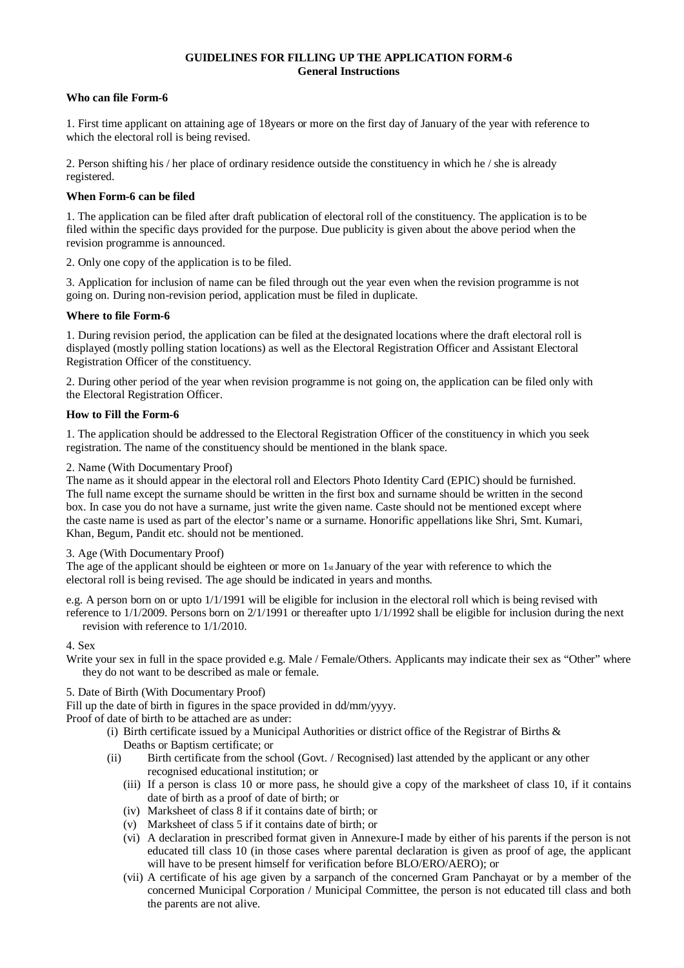#### **GUIDELINES FOR FILLING UP THE APPLICATION FORM-6 General Instructions**

#### **Who can file Form-6**

1. First time applicant on attaining age of 18years or more on the first day of January of the year with reference to which the electoral roll is being revised.

2. Person shifting his / her place of ordinary residence outside the constituency in which he / she is already registered.

#### **When Form-6 can be filed**

1. The application can be filed after draft publication of electoral roll of the constituency. The application is to be filed within the specific days provided for the purpose. Due publicity is given about the above period when the revision programme is announced.

2. Only one copy of the application is to be filed.

3. Application for inclusion of name can be filed through out the year even when the revision programme is not going on. During non-revision period, application must be filed in duplicate.

#### **Where to file Form-6**

1. During revision period, the application can be filed at the designated locations where the draft electoral roll is displayed (mostly polling station locations) as well as the Electoral Registration Officer and Assistant Electoral Registration Officer of the constituency.

2. During other period of the year when revision programme is not going on, the application can be filed only with the Electoral Registration Officer.

#### **How to Fill the Form-6**

1. The application should be addressed to the Electoral Registration Officer of the constituency in which you seek registration. The name of the constituency should be mentioned in the blank space.

#### 2. Name (With Documentary Proof)

The name as it should appear in the electoral roll and Electors Photo Identity Card (EPIC) should be furnished. The full name except the surname should be written in the first box and surname should be written in the second box. In case you do not have a surname, just write the given name. Caste should not be mentioned except where the caste name is used as part of the elector's name or a surname. Honorific appellations like Shri, Smt. Kumari, Khan, Begum, Pandit etc. should not be mentioned.

3. Age (With Documentary Proof)

The age of the applicant should be eighteen or more on  $1<sub>st</sub>$  January of the year with reference to which the electoral roll is being revised. The age should be indicated in years and months.

e.g. A person born on or upto 1/1/1991 will be eligible for inclusion in the electoral roll which is being revised with reference to 1/1/2009. Persons born on 2/1/1991 or thereafter upto 1/1/1992 shall be eligible for inclusion during the next revision with reference to 1/1/2010.

#### 4. Sex

Write your sex in full in the space provided e.g. Male / Female/Others. Applicants may indicate their sex as "Other" where they do not want to be described as male or female.

#### 5. Date of Birth (With Documentary Proof)

Fill up the date of birth in figures in the space provided in dd/mm/yyyy.

Proof of date of birth to be attached are as under:

- (i) Birth certificate issued by a Municipal Authorities or district office of the Registrar of Births & Deaths or Baptism certificate; or
- (ii) Birth certificate from the school (Govt. / Recognised) last attended by the applicant or any other recognised educational institution; or
	- (iii) If a person is class 10 or more pass, he should give a copy of the marksheet of class 10, if it contains date of birth as a proof of date of birth; or
	- (iv) Marksheet of class 8 if it contains date of birth; or
	- (v) Marksheet of class 5 if it contains date of birth; or
	- (vi) A declaration in prescribed format given in Annexure-I made by either of his parents if the person is not educated till class 10 (in those cases where parental declaration is given as proof of age, the applicant will have to be present himself for verification before BLO/ERO/AERO); or
	- (vii) A certificate of his age given by a sarpanch of the concerned Gram Panchayat or by a member of the concerned Municipal Corporation / Municipal Committee, the person is not educated till class and both the parents are not alive.